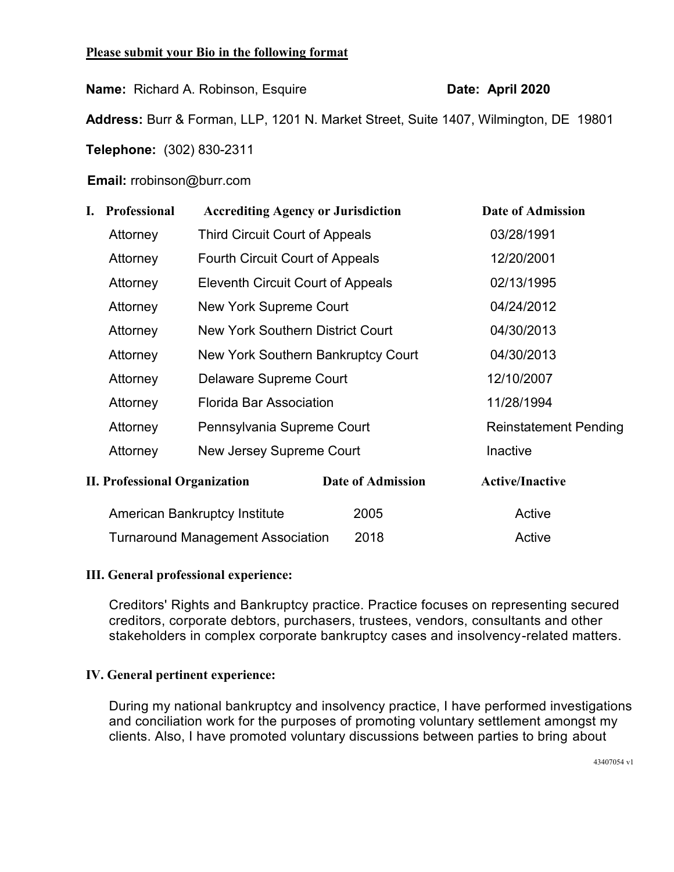## **Please submit your Bio in the following format**

**Name:** Richard A. Robinson, Esquire **Date: April 2020** 

**Address:** Burr & Forman, LLP, 1201 N. Market Street, Suite 1407, Wilmington, DE 19801

**Telephone:** (302) 830-2311

**Email:** rrobinson@burr.com

| I.                                   | Professional                                                                                                                 | <b>Accrediting Agency or Jurisdiction</b> |                        | <b>Date of Admission</b>     |
|--------------------------------------|------------------------------------------------------------------------------------------------------------------------------|-------------------------------------------|------------------------|------------------------------|
|                                      | Attorney                                                                                                                     | <b>Third Circuit Court of Appeals</b>     |                        | 03/28/1991                   |
|                                      | Attorney                                                                                                                     | <b>Fourth Circuit Court of Appeals</b>    |                        | 12/20/2001                   |
|                                      | Attorney                                                                                                                     | <b>Eleventh Circuit Court of Appeals</b>  |                        | 02/13/1995                   |
|                                      | Attorney                                                                                                                     | <b>New York Supreme Court</b>             |                        | 04/24/2012                   |
|                                      | New York Southern District Court<br>Attorney<br>New York Southern Bankruptcy Court<br>Attorney                               |                                           |                        | 04/30/2013                   |
|                                      |                                                                                                                              |                                           |                        | 04/30/2013                   |
|                                      | Attorney                                                                                                                     | Delaware Supreme Court                    |                        | 12/10/2007                   |
|                                      | <b>Florida Bar Association</b><br>Attorney<br>Pennsylvania Supreme Court<br>Attorney<br>New Jersey Supreme Court<br>Attorney |                                           |                        | 11/28/1994                   |
|                                      |                                                                                                                              |                                           |                        | <b>Reinstatement Pending</b> |
|                                      |                                                                                                                              |                                           |                        | Inactive                     |
| <b>II. Professional Organization</b> |                                                                                                                              | Date of Admission                         | <b>Active/Inactive</b> |                              |
|                                      | <b>American Bankruptcy Institute</b>                                                                                         |                                           | 2005                   | Active                       |
|                                      |                                                                                                                              | <b>Turnaround Management Association</b>  | 2018                   | Active                       |

## **III. General professional experience:**

Creditors' Rights and Bankruptcy practice. Practice focuses on representing secured creditors, corporate debtors, purchasers, trustees, vendors, consultants and other stakeholders in complex corporate bankruptcy cases and insolvency-related matters.

# **IV. General pertinent experience:**

During my national bankruptcy and insolvency practice, I have performed investigations and conciliation work for the purposes of promoting voluntary settlement amongst my clients. Also, I have promoted voluntary discussions between parties to bring about